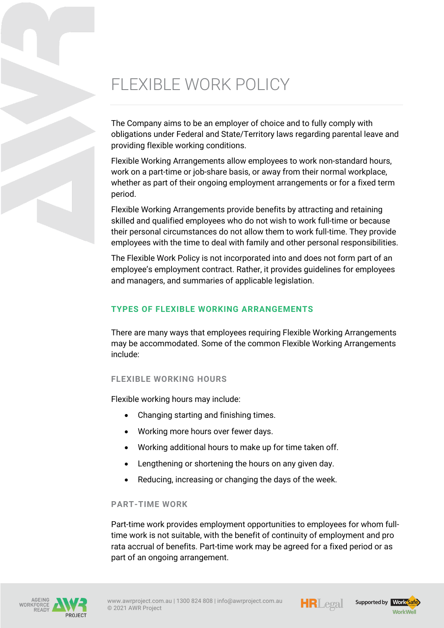# FLEXIBLE WORK POLICY

The Company aims to be an employer of choice and to fully comply with obligations under Federal and State/Territory laws regarding parental leave and providing flexible working conditions.

Flexible Working Arrangements allow employees to work non-standard hours, work on a part-time or job-share basis, or away from their normal workplace, whether as part of their ongoing employment arrangements or for a fixed term period.

Flexible Working Arrangements provide benefits by attracting and retaining skilled and qualified employees who do not wish to work full-time or because their personal circumstances do not allow them to work full-time. They provide employees with the time to deal with family and other personal responsibilities.

The Flexible Work Policy is not incorporated into and does not form part of an employee's employment contract. Rather, it provides guidelines for employees and managers, and summaries of applicable legislation.

# **TYPES OF FLEXIBLE WORKING ARRANGEMENTS**

There are many ways that employees requiring Flexible Working Arrangements may be accommodated. Some of the common Flexible Working Arrangements include:

## **FLEXIBLE WORKING HOURS**

Flexible working hours may include:

- Changing starting and finishing times.
- Working more hours over fewer days.
- Working additional hours to make up for time taken off.
- Lengthening or shortening the hours on any given day.
- Reducing, increasing or changing the days of the week.

#### **PART-TIME WORK**

Part-time work provides employment opportunities to employees for whom fulltime work is not suitable, with the benefit of continuity of employment and pro rata accrual of benefits. Part-time work may be agreed for a fixed period or as part of an ongoing arrangement.







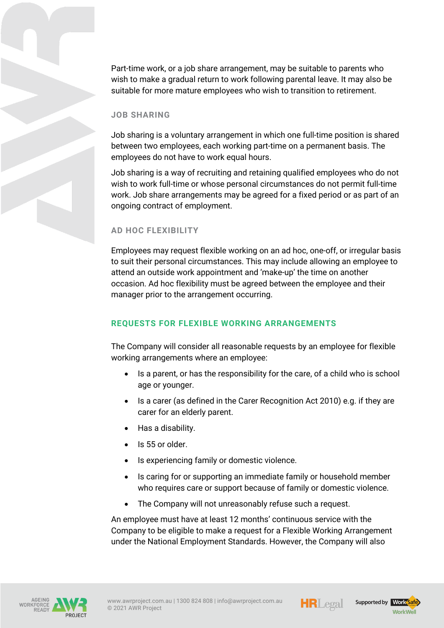Part-time work, or a job share arrangement, may be suitable to parents who wish to make a gradual return to work following parental leave. It may also be suitable for more mature employees who wish to transition to retirement.

#### **JOB SHARING**

Job sharing is a voluntary arrangement in which one full-time position is shared between two employees, each working part-time on a permanent basis. The employees do not have to work equal hours.

Job sharing is a way of recruiting and retaining qualified employees who do not wish to work full-time or whose personal circumstances do not permit full-time work. Job share arrangements may be agreed for a fixed period or as part of an ongoing contract of employment.

#### **AD HOC FLEXIBILITY**

Employees may request flexible working on an ad hoc, one-off, or irregular basis to suit their personal circumstances. This may include allowing an employee to attend an outside work appointment and 'make-up' the time on another occasion. Ad hoc flexibility must be agreed between the employee and their manager prior to the arrangement occurring.

#### **REQUESTS FOR FLEXIBLE WORKING ARRANGEMENTS**

The Company will consider all reasonable requests by an employee for flexible working arrangements where an employee:

- Is a parent, or has the responsibility for the care, of a child who is school age or younger.
- Is a carer (as defined in the Carer Recognition Act 2010) e.g. if they are carer for an elderly parent.
- Has a disability.
- Is 55 or older.
- Is experiencing family or domestic violence.
- Is caring for or supporting an immediate family or household member who requires care or support because of family or domestic violence.
- The Company will not unreasonably refuse such a request.

An employee must have at least 12 months' continuous service with the Company to be eligible to make a request for a Flexible Working Arrangement under the National Employment Standards. However, the Company will also







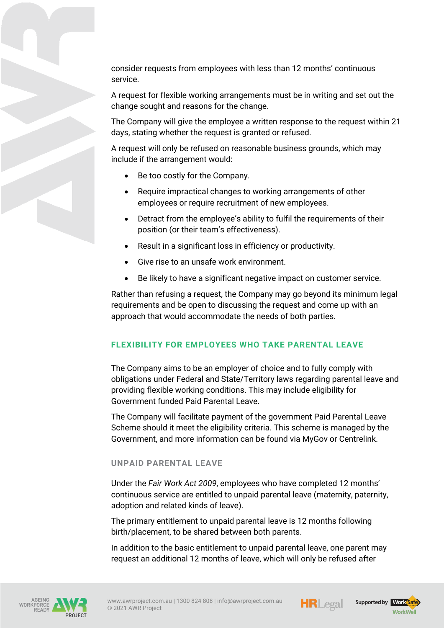consider requests from employees with less than 12 months' continuous service.

A request for flexible working arrangements must be in writing and set out the change sought and reasons for the change.

The Company will give the employee a written response to the request within 21 days, stating whether the request is granted or refused.

A request will only be refused on reasonable business grounds, which may include if the arrangement would:

- Be too costly for the Company.
- Require impractical changes to working arrangements of other employees or require recruitment of new employees.
- Detract from the employee's ability to fulfil the requirements of their position (or their team's effectiveness).
- Result in a significant loss in efficiency or productivity.
- Give rise to an unsafe work environment.
- Be likely to have a significant negative impact on customer service.

Rather than refusing a request, the Company may go beyond its minimum legal requirements and be open to discussing the request and come up with an approach that would accommodate the needs of both parties.

## **FLEXIBILITY FOR EMPLOYEES WHO TAKE PARENTAL LEAVE**

The Company aims to be an employer of choice and to fully comply with obligations under Federal and State/Territory laws regarding parental leave and providing flexible working conditions. This may include eligibility for Government funded Paid Parental Leave.

The Company will facilitate payment of the government Paid Parental Leave Scheme should it meet the eligibility criteria. This scheme is managed by the Government, and more information can be found via MyGov or Centrelink.

#### **UNPAID PARENTAL LEAVE**

Under the *Fair Work Act 2009*, employees who have completed 12 months' continuous service are entitled to unpaid parental leave (maternity, paternity, adoption and related kinds of leave).

The primary entitlement to unpaid parental leave is 12 months following birth/placement, to be shared between both parents.

In addition to the basic entitlement to unpaid parental leave, one parent may request an additional 12 months of leave, which will only be refused after